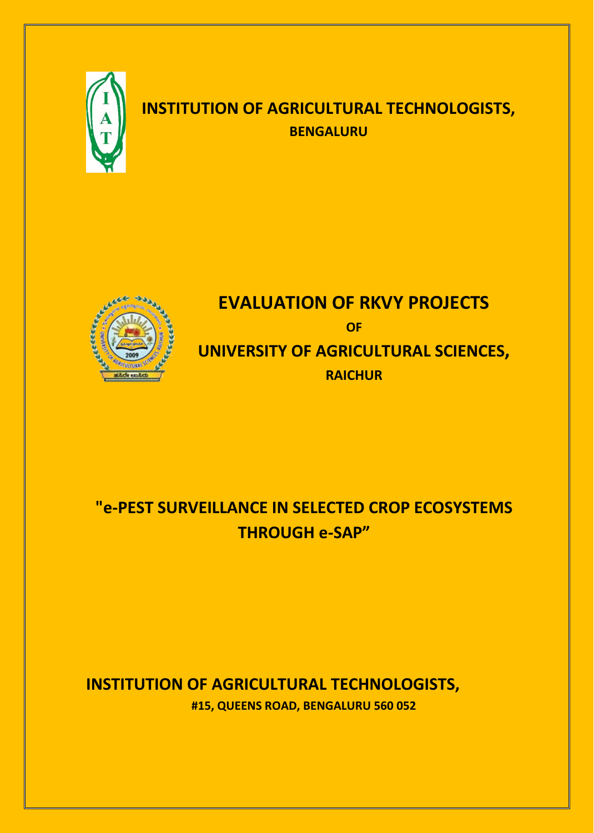

## **INSTITUTION OF AGRICULTURAL TECHNOLOGISTS, BENGALURU**



# **EVALUATION OF RKVY PROJECTS OF UNIVERSITY OF AGRICULTURAL SCIENCES, RAICHUR**

# **"e-PEST SURVEILLANCE IN SELECTED CROP ECOSYSTEMS THROUGH e-SAP"**

## **INSTITUTION OF AGRICULTURAL TECHNOLOGISTS, #15, QUEENS ROAD, BENGALURU 560 052**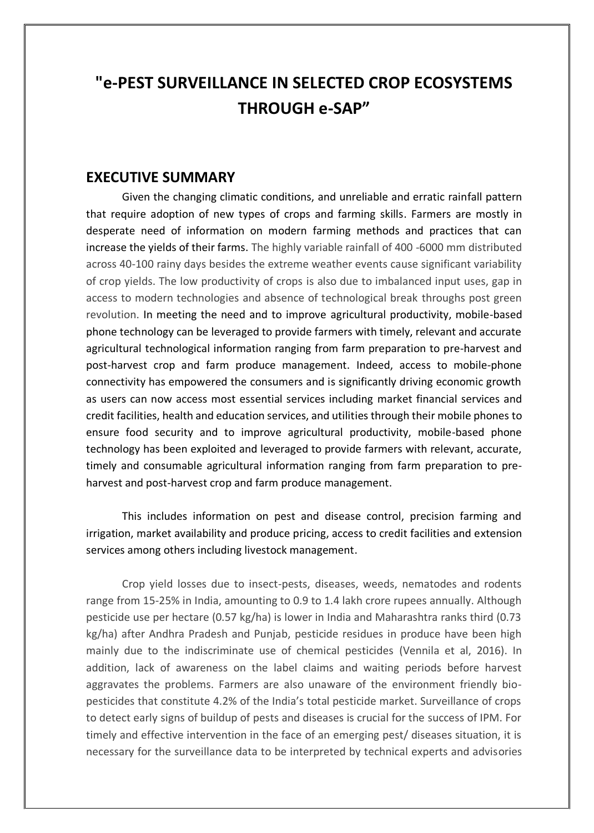## **"e-PEST SURVEILLANCE IN SELECTED CROP ECOSYSTEMS THROUGH e-SAP"**

### **EXECUTIVE SUMMARY**

Given the changing climatic conditions, and unreliable and erratic rainfall pattern that require adoption of new types of crops and farming skills. Farmers are mostly in desperate need of information on modern farming methods and practices that can increase the yields of their farms. The highly variable rainfall of 400 -6000 mm distributed across 40-100 rainy days besides the extreme weather events cause significant variability of crop yields. The low productivity of crops is also due to imbalanced input uses, gap in access to modern technologies and absence of technological break throughs post green revolution. In meeting the need and to improve agricultural productivity, mobile-based phone technology can be leveraged to provide farmers with timely, relevant and accurate agricultural technological information ranging from farm preparation to pre-harvest and post-harvest crop and farm produce management. Indeed, access to mobile-phone connectivity has empowered the consumers and is significantly driving economic growth as users can now access most essential services including market financial services and credit facilities, health and education services, and utilities through their mobile phones to ensure food security and to improve agricultural productivity, mobile-based phone technology has been exploited and leveraged to provide farmers with relevant, accurate, timely and consumable agricultural information ranging from farm preparation to preharvest and post-harvest crop and farm produce management.

This includes information on pest and disease control, precision farming and irrigation, market availability and produce pricing, access to credit facilities and extension services among others including livestock management.

Crop yield losses due to insect-pests, diseases, weeds, nematodes and rodents range from 15-25% in India, amounting to 0.9 to 1.4 lakh crore rupees annually. Although pesticide use per hectare (0.57 kg/ha) is lower in India and Maharashtra ranks third (0.73 kg/ha) after Andhra Pradesh and Punjab, pesticide residues in produce have been high mainly due to the indiscriminate use of chemical pesticides (Vennila et al, 2016). In addition, lack of awareness on the label claims and waiting periods before harvest aggravates the problems. Farmers are also unaware of the environment friendly biopesticides that constitute 4.2% of the India's total pesticide market. Surveillance of crops to detect early signs of buildup of pests and diseases is crucial for the success of IPM. For timely and effective intervention in the face of an emerging pest/ diseases situation, it is necessary for the surveillance data to be interpreted by technical experts and advisories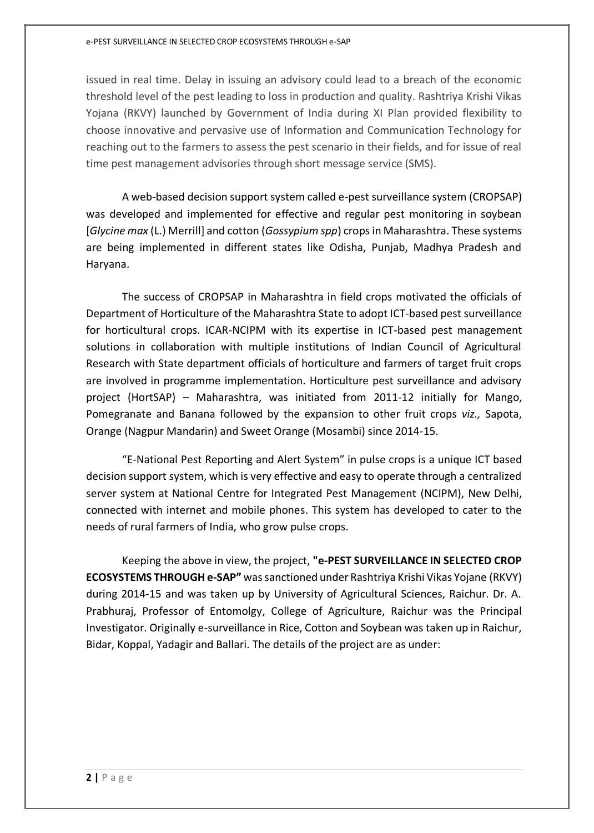#### e-PEST SURVEILLANCE IN SELECTED CROP ECOSYSTEMS THROUGH e-SAP

issued in real time. Delay in issuing an advisory could lead to a breach of the economic threshold level of the pest leading to loss in production and quality. Rashtriya Krishi Vikas Yojana (RKVY) launched by Government of India during XI Plan provided flexibility to choose innovative and pervasive use of Information and Communication Technology for reaching out to the farmers to assess the pest scenario in their fields, and for issue of real time pest management advisories through short message service (SMS).

A web-based decision support system called e-pest surveillance system (CROPSAP) was developed and implemented for effective and regular pest monitoring in soybean [*Glycine max* (L.) Merrill] and cotton (*Gossypium spp*) crops in Maharashtra. These systems are being implemented in different states like Odisha, Punjab, Madhya Pradesh and Haryana.

The success of CROPSAP in Maharashtra in field crops motivated the officials of Department of Horticulture of the Maharashtra State to adopt ICT-based pest surveillance for horticultural crops. ICAR-NCIPM with its expertise in ICT-based pest management solutions in collaboration with multiple institutions of Indian Council of Agricultural Research with State department officials of horticulture and farmers of target fruit crops are involved in programme implementation. Horticulture pest surveillance and advisory project (HortSAP) – Maharashtra, was initiated from 2011-12 initially for Mango, Pomegranate and Banana followed by the expansion to other fruit crops *viz.,* Sapota, Orange (Nagpur Mandarin) and Sweet Orange (Mosambi) since 2014-15.

"E-National Pest Reporting and Alert System" in pulse crops is a unique ICT based decision support system, which is very effective and easy to operate through a centralized server system at National Centre for Integrated Pest Management (NCIPM), New Delhi, connected with internet and mobile phones. This system has developed to cater to the needs of rural farmers of India, who grow pulse crops.

Keeping the above in view, the project, **"e-PEST SURVEILLANCE IN SELECTED CROP ECOSYSTEMS THROUGH e-SAP"** was sanctioned under Rashtriya Krishi Vikas Yojane (RKVY) during 2014-15 and was taken up by University of Agricultural Sciences, Raichur. Dr. A. Prabhuraj, Professor of Entomolgy, College of Agriculture, Raichur was the Principal Investigator. Originally e-surveillance in Rice, Cotton and Soybean was taken up in Raichur, Bidar, Koppal, Yadagir and Ballari. The details of the project are as under: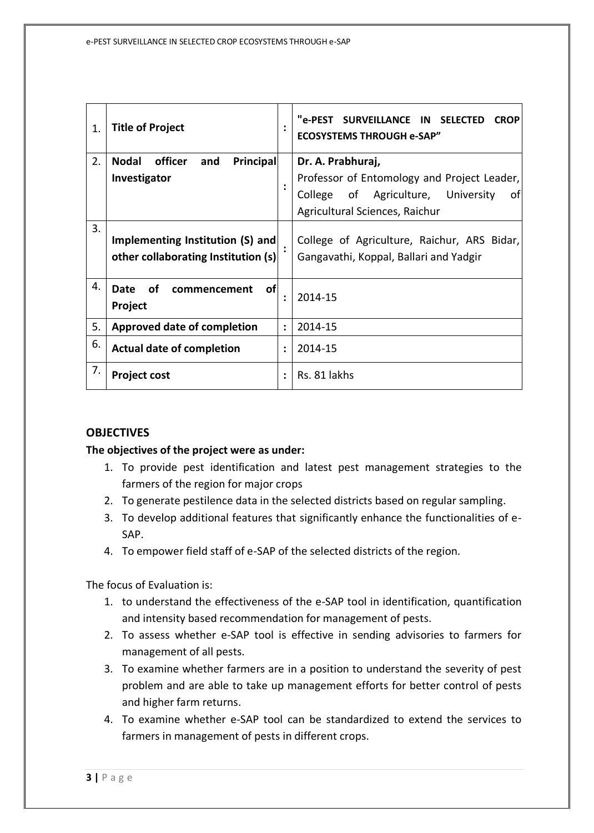| 1. | <b>Title of Project</b>                                                 | $\ddot{\cdot}$       | "e-PEST SURVEILLANCE IN SELECTED<br><b>CROP</b><br><b>ECOSYSTEMS THROUGH e-SAP"</b>   |
|----|-------------------------------------------------------------------------|----------------------|---------------------------------------------------------------------------------------|
| 2. | Principal<br>officer<br><b>Nodal</b><br>and                             |                      | Dr. A. Prabhuraj,                                                                     |
|    | Investigator                                                            | $\ddot{\cdot}$       | Professor of Entomology and Project Leader,                                           |
|    |                                                                         |                      | of Agriculture, University<br>of<br>College                                           |
|    |                                                                         |                      | Agricultural Sciences, Raichur                                                        |
| 3. | Implementing Institution (S) and<br>other collaborating Institution (s) |                      | College of Agriculture, Raichur, ARS Bidar,<br>Gangavathi, Koppal, Ballari and Yadgir |
| 4. | of<br><b>of</b><br>Date<br>commencement<br>Project                      | $\ddot{\phantom{a}}$ | 2014-15                                                                               |
| 5. | <b>Approved date of completion</b>                                      | $\ddot{\cdot}$       | 2014-15                                                                               |
| 6. | <b>Actual date of completion</b>                                        | $\ddot{\cdot}$       | 2014-15                                                                               |
| 7. | <b>Project cost</b>                                                     | $\ddot{\cdot}$       | Rs. 81 lakhs                                                                          |

#### **OBJECTIVES**

#### **The objectives of the project were as under:**

- 1. To provide pest identification and latest pest management strategies to the farmers of the region for major crops
- 2. To generate pestilence data in the selected districts based on regular sampling.
- 3. To develop additional features that significantly enhance the functionalities of e-SAP.
- 4. To empower field staff of e-SAP of the selected districts of the region.

The focus of Evaluation is:

- 1. to understand the effectiveness of the e-SAP tool in identification, quantification and intensity based recommendation for management of pests.
- 2. To assess whether e-SAP tool is effective in sending advisories to farmers for management of all pests.
- 3. To examine whether farmers are in a position to understand the severity of pest problem and are able to take up management efforts for better control of pests and higher farm returns.
- 4. To examine whether e-SAP tool can be standardized to extend the services to farmers in management of pests in different crops.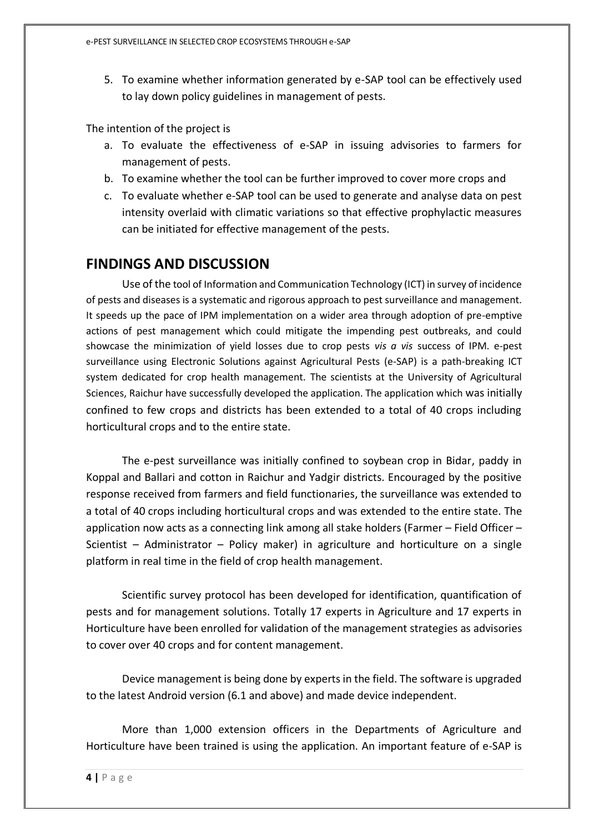5. To examine whether information generated by e-SAP tool can be effectively used to lay down policy guidelines in management of pests.

The intention of the project is

- a. To evaluate the effectiveness of e-SAP in issuing advisories to farmers for management of pests.
- b. To examine whether the tool can be further improved to cover more crops and
- c. To evaluate whether e-SAP tool can be used to generate and analyse data on pest intensity overlaid with climatic variations so that effective prophylactic measures can be initiated for effective management of the pests.

### **FINDINGS AND DISCUSSION**

Use of the tool of Information and Communication Technology (ICT) in survey of incidence of pests and diseases is a systematic and rigorous approach to pest surveillance and management. It speeds up the pace of IPM implementation on a wider area through adoption of pre-emptive actions of pest management which could mitigate the impending pest outbreaks, and could showcase the minimization of yield losses due to crop pests *vis a vis* success of IPM. e-pest surveillance using Electronic Solutions against Agricultural Pests (e-SAP) is a path-breaking ICT system dedicated for crop health management. The scientists at the University of Agricultural Sciences, Raichur have successfully developed the application. The application which was initially confined to few crops and districts has been extended to a total of 40 crops including horticultural crops and to the entire state.

The e-pest surveillance was initially confined to soybean crop in Bidar, paddy in Koppal and Ballari and cotton in Raichur and Yadgir districts. Encouraged by the positive response received from farmers and field functionaries, the surveillance was extended to a total of 40 crops including horticultural crops and was extended to the entire state. The application now acts as a connecting link among all stake holders (Farmer – Field Officer – Scientist – Administrator – Policy maker) in agriculture and horticulture on a single platform in real time in the field of crop health management.

Scientific survey protocol has been developed for identification, quantification of pests and for management solutions. Totally 17 experts in Agriculture and 17 experts in Horticulture have been enrolled for validation of the management strategies as advisories to cover over 40 crops and for content management.

Device management is being done by experts in the field. The software is upgraded to the latest Android version (6.1 and above) and made device independent.

More than 1,000 extension officers in the Departments of Agriculture and Horticulture have been trained is using the application. An important feature of e-SAP is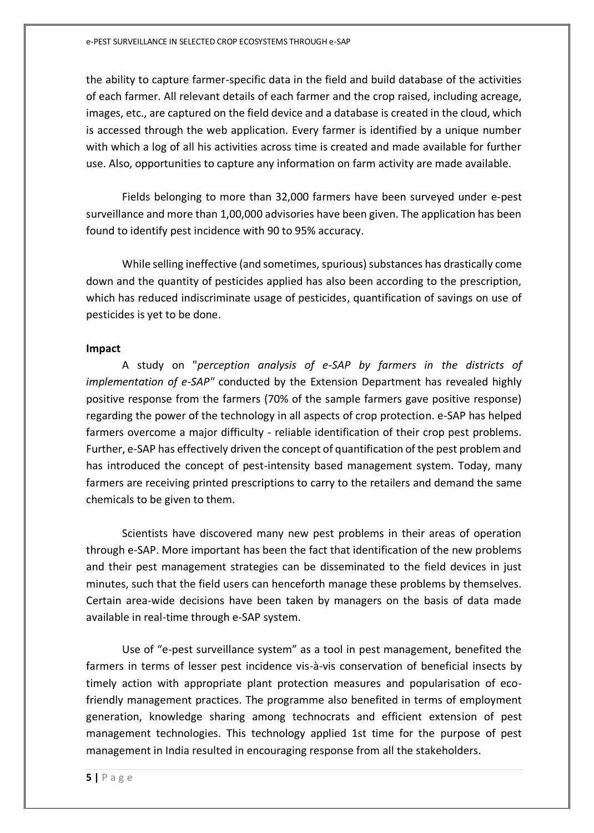the ability to capture farmer-specific data in the field and build database of the activities of each farmer. All relevant details of each farmer and the crop raised, including acreage, images, etc., are captured on the field device and a database is created in the cloud, which is accessed through the web application. Every farmer is identified by a unique number with which a log of all his activities across time is created and made available for further use. Also, opportunities to capture any information on farm activity are made available.

Fields belonging to more than 32,000 farmers have been surveyed under e-pest surveillance and more than 1,00,000 advisories have been given. The application has been found to identify pest incidence with 90 to 95% accuracy.

While selling ineffective (and sometimes, spurious) substances has drastically come down and the quantity of pesticides applied has also been according to the prescription, which has reduced indiscriminate usage of pesticides, quantification of savings on use of pesticides is yet to be done.

#### **Impact**

A study on "*perception analysis of e-SAP by farmers in the districts of implementation of e-SAP"* conducted by the Extension Department has revealed highly positive response from the farmers (70% of the sample farmers gave positive response) regarding the power of the technology in all aspects of crop protection. e-SAP has helped farmers overcome a major difficulty - reliable identification of their crop pest problems. Further, e-SAP has effectively driven the concept of quantification of the pest problem and has introduced the concept of pest-intensity based management system. Today, many farmers are receiving printed prescriptions to carry to the retailers and demand the same chemicals to be given to them.

Scientists have discovered many new pest problems in their areas of operation through e-SAP. More important has been the fact that identification of the new problems and their pest management strategies can be disseminated to the field devices in just minutes, such that the field users can henceforth manage these problems by themselves. Certain area-wide decisions have been taken by managers on the basis of data made available in real-time through e-SAP system.

Use of "e-pest surveillance system" as a tool in pest management, benefited the farmers in terms of lesser pest incidence vis-à-vis conservation of beneficial insects by timely action with appropriate plant protection measures and popularisation of ecofriendly management practices. The programme also benefited in terms of employment generation, knowledge sharing among technocrats and efficient extension of pest management technologies. This technology applied 1st time for the purpose of pest management in India resulted in encouraging response from all the stakeholders.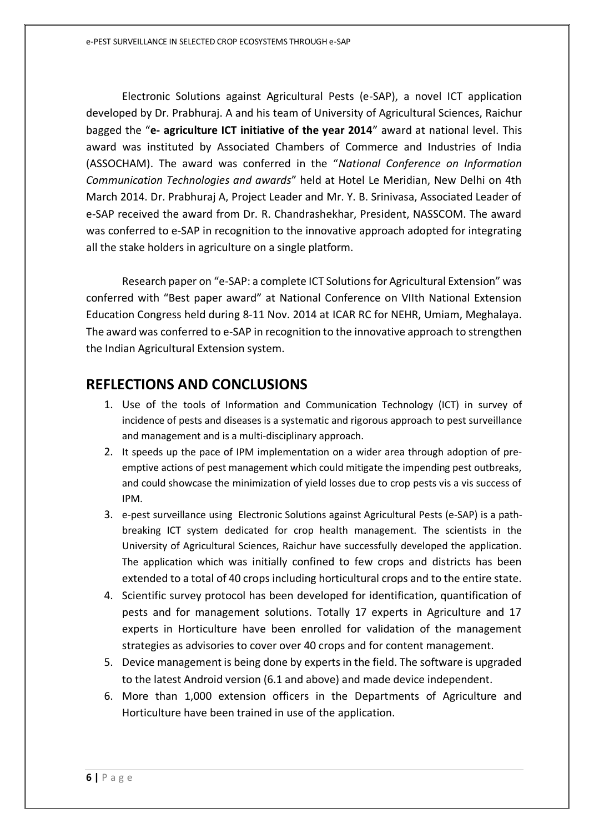Electronic Solutions against Agricultural Pests (e-SAP), a novel ICT application developed by Dr. Prabhuraj. A and his team of University of Agricultural Sciences, Raichur bagged the "**e- agriculture ICT initiative of the year 2014**" award at national level. This award was instituted by Associated Chambers of Commerce and Industries of India (ASSOCHAM). The award was conferred in the "*National Conference on Information Communication Technologies and awards*" held at Hotel Le Meridian, New Delhi on 4th March 2014. Dr. Prabhuraj A, Project Leader and Mr. Y. B. Srinivasa, Associated Leader of e-SAP received the award from Dr. R. Chandrashekhar, President, NASSCOM. The award was conferred to e-SAP in recognition to the innovative approach adopted for integrating all the stake holders in agriculture on a single platform.

Research paper on "e-SAP: a complete ICT Solutions for Agricultural Extension" was conferred with "Best paper award" at National Conference on VIIth National Extension Education Congress held during 8-11 Nov. 2014 at ICAR RC for NEHR, Umiam, Meghalaya. The award was conferred to e-SAP in recognition to the innovative approach to strengthen the Indian Agricultural Extension system.

### **REFLECTIONS AND CONCLUSIONS**

- 1. Use of the tools of Information and Communication Technology (ICT) in survey of incidence of pests and diseases is a systematic and rigorous approach to pest surveillance and management and is a multi-disciplinary approach.
- 2. It speeds up the pace of IPM implementation on a wider area through adoption of preemptive actions of pest management which could mitigate the impending pest outbreaks, and could showcase the minimization of yield losses due to crop pests vis a vis success of IPM.
- 3. e-pest surveillance using Electronic Solutions against Agricultural Pests (e-SAP) is a pathbreaking ICT system dedicated for crop health management. The scientists in the University of Agricultural Sciences, Raichur have successfully developed the application. The application which was initially confined to few crops and districts has been extended to a total of 40 crops including horticultural crops and to the entire state.
- 4. Scientific survey protocol has been developed for identification, quantification of pests and for management solutions. Totally 17 experts in Agriculture and 17 experts in Horticulture have been enrolled for validation of the management strategies as advisories to cover over 40 crops and for content management.
- 5. Device management is being done by experts in the field. The software is upgraded to the latest Android version (6.1 and above) and made device independent.
- 6. More than 1,000 extension officers in the Departments of Agriculture and Horticulture have been trained in use of the application.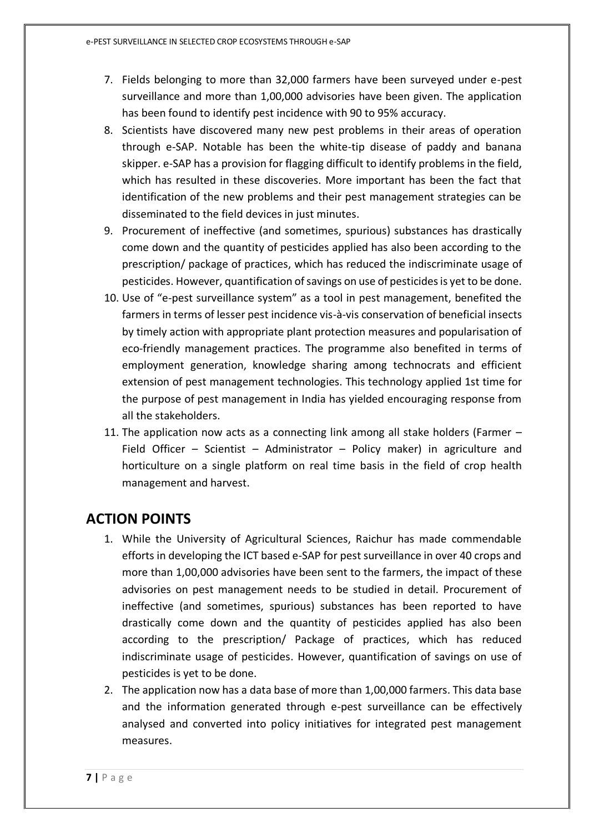- 7. Fields belonging to more than 32,000 farmers have been surveyed under e-pest surveillance and more than 1,00,000 advisories have been given. The application has been found to identify pest incidence with 90 to 95% accuracy.
- 8. Scientists have discovered many new pest problems in their areas of operation through e-SAP. Notable has been the white-tip disease of paddy and banana skipper. e-SAP has a provision for flagging difficult to identify problems in the field, which has resulted in these discoveries. More important has been the fact that identification of the new problems and their pest management strategies can be disseminated to the field devices in just minutes.
- 9. Procurement of ineffective (and sometimes, spurious) substances has drastically come down and the quantity of pesticides applied has also been according to the prescription/ package of practices, which has reduced the indiscriminate usage of pesticides. However, quantification of savings on use of pesticides is yet to be done.
- 10. Use of "e-pest surveillance system" as a tool in pest management, benefited the farmers in terms of lesser pest incidence vis-à-vis conservation of beneficial insects by timely action with appropriate plant protection measures and popularisation of eco-friendly management practices. The programme also benefited in terms of employment generation, knowledge sharing among technocrats and efficient extension of pest management technologies. This technology applied 1st time for the purpose of pest management in India has yielded encouraging response from all the stakeholders.
- 11. The application now acts as a connecting link among all stake holders (Farmer Field Officer – Scientist – Administrator – Policy maker) in agriculture and horticulture on a single platform on real time basis in the field of crop health management and harvest.

### **ACTION POINTS**

- 1. While the University of Agricultural Sciences, Raichur has made commendable efforts in developing the ICT based e-SAP for pest surveillance in over 40 crops and more than 1,00,000 advisories have been sent to the farmers, the impact of these advisories on pest management needs to be studied in detail. Procurement of ineffective (and sometimes, spurious) substances has been reported to have drastically come down and the quantity of pesticides applied has also been according to the prescription/ Package of practices, which has reduced indiscriminate usage of pesticides. However, quantification of savings on use of pesticides is yet to be done.
- 2. The application now has a data base of more than 1,00,000 farmers. This data base and the information generated through e-pest surveillance can be effectively analysed and converted into policy initiatives for integrated pest management measures.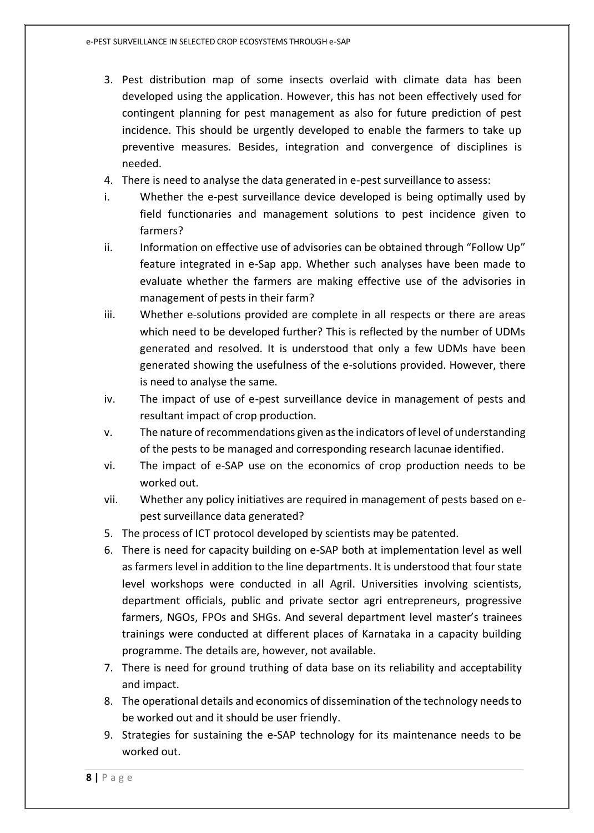- 3. Pest distribution map of some insects overlaid with climate data has been developed using the application. However, this has not been effectively used for contingent planning for pest management as also for future prediction of pest incidence. This should be urgently developed to enable the farmers to take up preventive measures. Besides, integration and convergence of disciplines is needed.
- 4. There is need to analyse the data generated in e-pest surveillance to assess:
- i. Whether the e-pest surveillance device developed is being optimally used by field functionaries and management solutions to pest incidence given to farmers?
- ii. Information on effective use of advisories can be obtained through "Follow Up" feature integrated in e-Sap app. Whether such analyses have been made to evaluate whether the farmers are making effective use of the advisories in management of pests in their farm?
- iii. Whether e-solutions provided are complete in all respects or there are areas which need to be developed further? This is reflected by the number of UDMs generated and resolved. It is understood that only a few UDMs have been generated showing the usefulness of the e-solutions provided. However, there is need to analyse the same.
- iv. The impact of use of e-pest surveillance device in management of pests and resultant impact of crop production.
- v. The nature of recommendations given as the indicators of level of understanding of the pests to be managed and corresponding research lacunae identified.
- vi. The impact of e-SAP use on the economics of crop production needs to be worked out.
- vii. Whether any policy initiatives are required in management of pests based on epest surveillance data generated?
- 5. The process of ICT protocol developed by scientists may be patented.
- 6. There is need for capacity building on e-SAP both at implementation level as well as farmers level in addition to the line departments. It is understood that four state level workshops were conducted in all Agril. Universities involving scientists, department officials, public and private sector agri entrepreneurs, progressive farmers, NGOs, FPOs and SHGs. And several department level master's trainees trainings were conducted at different places of Karnataka in a capacity building programme. The details are, however, not available.
- 7. There is need for ground truthing of data base on its reliability and acceptability and impact.
- 8. The operational details and economics of dissemination of the technology needs to be worked out and it should be user friendly.
- 9. Strategies for sustaining the e-SAP technology for its maintenance needs to be worked out.